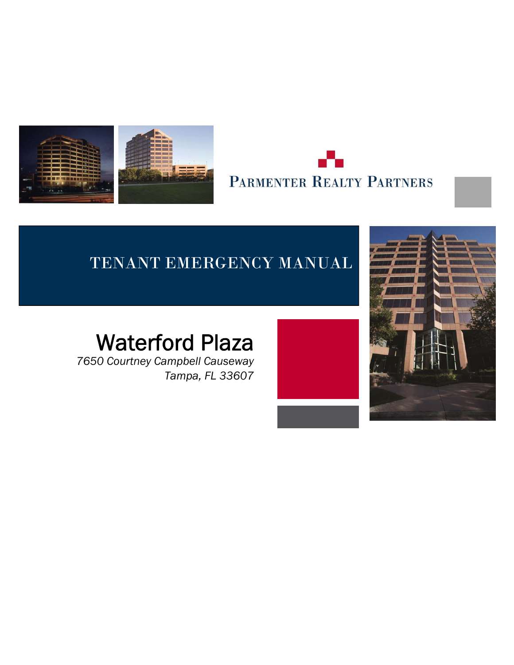

l,



## TENANT EMERGENCY MANUAL

## Waterford Plaza

*7650 Courtney Campbell Causeway Tampa, FL 33607*

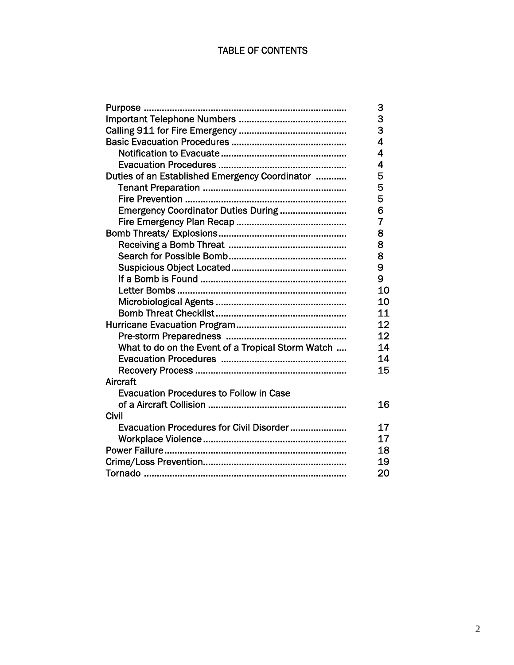#### TABLE OF CONTENTS

| Purpose                                           | 3                       |
|---------------------------------------------------|-------------------------|
|                                                   | 3<br>3                  |
|                                                   |                         |
|                                                   | $\overline{\mathbf{4}}$ |
|                                                   | 4                       |
|                                                   | 4                       |
| Duties of an Established Emergency Coordinator    | 5                       |
|                                                   | 5                       |
|                                                   | 5                       |
| Emergency Coordinator Duties During               | 6                       |
|                                                   | $\overline{7}$          |
|                                                   | 8                       |
|                                                   | 8                       |
|                                                   | 8                       |
|                                                   | 9                       |
|                                                   | 9                       |
|                                                   | 10                      |
|                                                   | 10                      |
|                                                   | 11                      |
|                                                   | 12                      |
|                                                   | 12                      |
| What to do on the Event of a Tropical Storm Watch | 14                      |
|                                                   | 14                      |
|                                                   | 15                      |
| <b>Aircraft</b>                                   |                         |
| <b>Evacuation Procedures to Follow in Case</b>    |                         |
|                                                   | 16                      |
| Civil                                             |                         |
| Evacuation Procedures for Civil Disorder          | 17                      |
|                                                   | 17                      |
|                                                   | 18                      |
|                                                   | 19                      |
|                                                   | 20                      |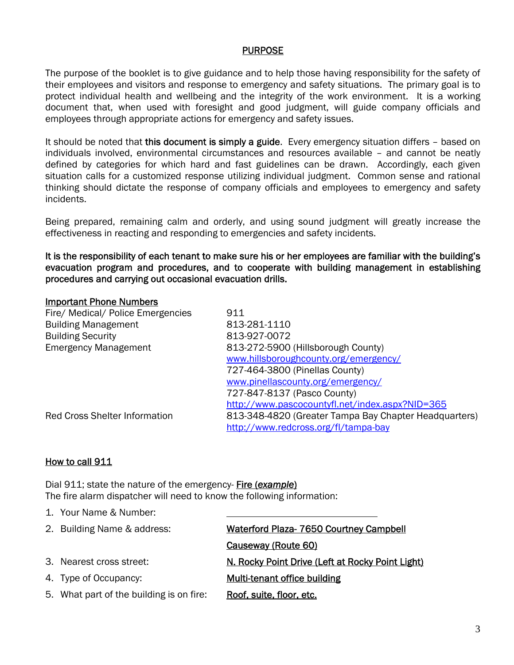#### PURPOSE

The purpose of the booklet is to give guidance and to help those having responsibility for the safety of their employees and visitors and response to emergency and safety situations. The primary goal is to protect individual health and wellbeing and the integrity of the work environment. It is a working document that, when used with foresight and good judgment, will guide company officials and employees through appropriate actions for emergency and safety issues.

It should be noted that this document is simply a guide. Every emergency situation differs – based on individuals involved, environmental circumstances and resources available – and cannot be neatly defined by categories for which hard and fast guidelines can be drawn. Accordingly, each given situation calls for a customized response utilizing individual judgment. Common sense and rational thinking should dictate the response of company officials and employees to emergency and safety incidents.

Being prepared, remaining calm and orderly, and using sound judgment will greatly increase the effectiveness in reacting and responding to emergencies and safety incidents.

It is the responsibility of each tenant to make sure his or her employees are familiar with the building's evacuation program and procedures, and to cooperate with building management in establishing procedures and carrying out occasional evacuation drills.

#### Important Phone Numbers

| Fire/ Medical/ Police Emergencies    | 911                                                   |
|--------------------------------------|-------------------------------------------------------|
| <b>Building Management</b>           | 813-281-1110                                          |
| <b>Building Security</b>             | 813-927-0072                                          |
| <b>Emergency Management</b>          | 813-272-5900 (Hillsborough County)                    |
|                                      | www.hillsboroughcounty.org/emergency/                 |
|                                      | 727-464-3800 (Pinellas County)                        |
|                                      | www.pinellascounty.org/emergency/                     |
|                                      | 727-847-8137 (Pasco County)                           |
|                                      | http://www.pascocountyfl.net/index.aspx?NID=365       |
| <b>Red Cross Shelter Information</b> | 813-348-4820 (Greater Tampa Bay Chapter Headquarters) |
|                                      | http://www.redcross.org/fl/tampa-bay                  |

#### How to call 911

Dial 911; state the nature of the emergency- Fire (*example*) The fire alarm dispatcher will need to know the following information:

1. Your Name & Number: 2. Building Name & address: Waterford Plaza- 7650 Courtney Campbell Causeway (Route 60) 3. Nearest cross street: N. Rocky Point Drive (Left at Rocky Point Light) 4. Type of Occupancy: Multi-tenant office building 5. What part of the building is on fire: Roof, suite, floor, etc.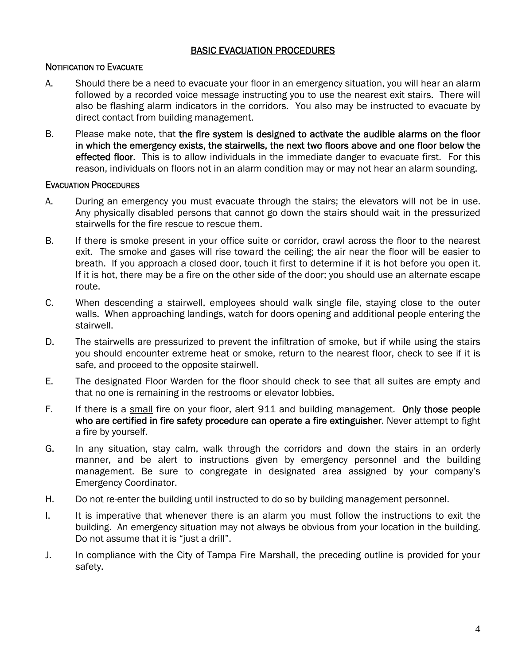#### BASIC EVACUATION PROCEDURES

#### NOTIFICATION TO EVACUATE

- A. Should there be a need to evacuate your floor in an emergency situation, you will hear an alarm followed by a recorded voice message instructing you to use the nearest exit stairs. There will also be flashing alarm indicators in the corridors. You also may be instructed to evacuate by direct contact from building management.
- B. Please make note, that the fire system is designed to activate the audible alarms on the floor in which the emergency exists, the stairwells, the next two floors above and one floor below the effected floor. This is to allow individuals in the immediate danger to evacuate first. For this reason, individuals on floors not in an alarm condition may or may not hear an alarm sounding.

#### EVACUATION PROCEDURES

- A. During an emergency you must evacuate through the stairs; the elevators will not be in use. Any physically disabled persons that cannot go down the stairs should wait in the pressurized stairwells for the fire rescue to rescue them.
- B. If there is smoke present in your office suite or corridor, crawl across the floor to the nearest exit. The smoke and gases will rise toward the ceiling; the air near the floor will be easier to breath. If you approach a closed door, touch it first to determine if it is hot before you open it. If it is hot, there may be a fire on the other side of the door; you should use an alternate escape route.
- C. When descending a stairwell, employees should walk single file, staying close to the outer walls. When approaching landings, watch for doors opening and additional people entering the stairwell.
- D. The stairwells are pressurized to prevent the infiltration of smoke, but if while using the stairs you should encounter extreme heat or smoke, return to the nearest floor, check to see if it is safe, and proceed to the opposite stairwell.
- E. The designated Floor Warden for the floor should check to see that all suites are empty and that no one is remaining in the restrooms or elevator lobbies.
- F. If there is a small fire on your floor, alert 911 and building management. Only those people who are certified in fire safety procedure can operate a fire extinguisher. Never attempt to fight a fire by yourself.
- G. In any situation, stay calm, walk through the corridors and down the stairs in an orderly manner, and be alert to instructions given by emergency personnel and the building management. Be sure to congregate in designated area assigned by your company's Emergency Coordinator.
- H. Do not re-enter the building until instructed to do so by building management personnel.
- I. It is imperative that whenever there is an alarm you must follow the instructions to exit the building. An emergency situation may not always be obvious from your location in the building. Do not assume that it is "just a drill".
- J. In compliance with the City of Tampa Fire Marshall, the preceding outline is provided for your safety.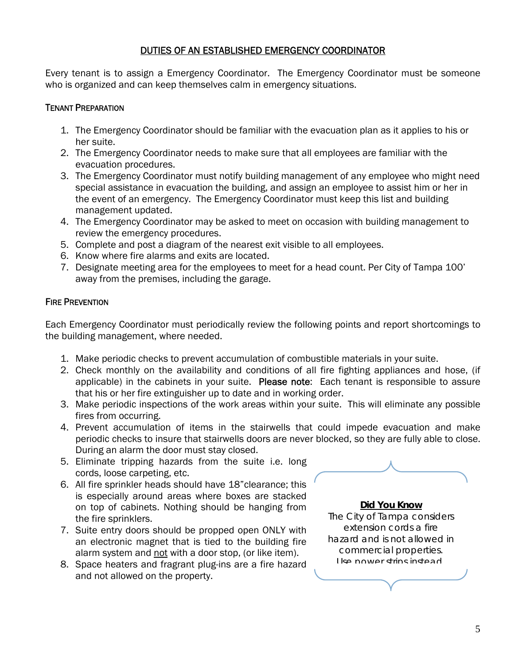#### DUTIES OF AN ESTABLISHED EMERGENCY COORDINATOR

Every tenant is to assign a Emergency Coordinator. The Emergency Coordinator must be someone who is organized and can keep themselves calm in emergency situations.

#### TENANT PREPARATION

- 1. The Emergency Coordinator should be familiar with the evacuation plan as it applies to his or her suite.
- 2. The Emergency Coordinator needs to make sure that all employees are familiar with the evacuation procedures.
- 3. The Emergency Coordinator must notify building management of any employee who might need special assistance in evacuation the building, and assign an employee to assist him or her in the event of an emergency. The Emergency Coordinator must keep this list and building management updated.
- 4. The Emergency Coordinator may be asked to meet on occasion with building management to review the emergency procedures.
- 5. Complete and post a diagram of the nearest exit visible to all employees.
- 6. Know where fire alarms and exits are located.
- 7. Designate meeting area for the employees to meet for a head count. Per City of Tampa 100' away from the premises, including the garage.

#### **FIRE PREVENTION**

Each Emergency Coordinator must periodically review the following points and report shortcomings to the building management, where needed.

- 1. Make periodic checks to prevent accumulation of combustible materials in your suite.
- 2. Check monthly on the availability and conditions of all fire fighting appliances and hose, (if applicable) in the cabinets in your suite. Please note: Each tenant is responsible to assure that his or her fire extinguisher up to date and in working order.
- 3. Make periodic inspections of the work areas within your suite. This will eliminate any possible fires from occurring.
- 4. Prevent accumulation of items in the stairwells that could impede evacuation and make periodic checks to insure that stairwells doors are never blocked, so they are fully able to close. During an alarm the door must stay closed.
- 5. Eliminate tripping hazards from the suite i.e. long cords, loose carpeting, etc.
- 6. All fire sprinkler heads should have 18"clearance; this is especially around areas where boxes are stacked on top of cabinets. Nothing should be hanging from the fire sprinklers.
- 7. Suite entry doors should be propped open ONLY with an electronic magnet that is tied to the building fire alarm system and not with a door stop, (or like item).
- 8. Space heaters and fragrant plug-ins are a fire hazard and not allowed on the property.



**Did You Know**  The City of Tampa considers extension cords a fire hazard and is not allowed in commercial properties. Use power strips instead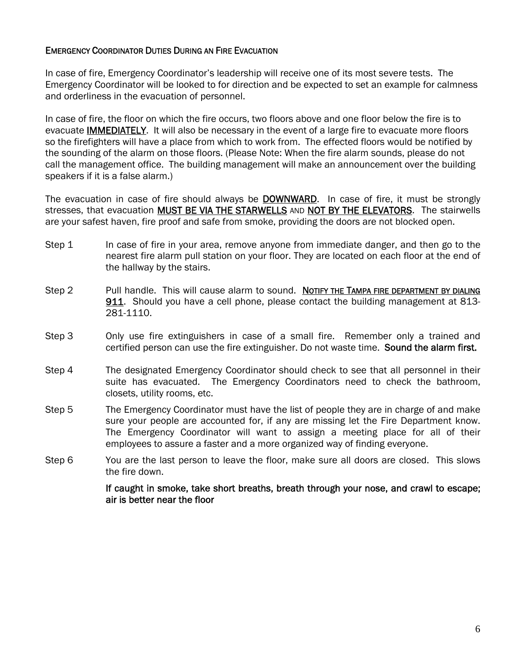#### EMERGENCY COORDINATOR DUTIES DURING AN FIRE EVACUATION

In case of fire, Emergency Coordinator's leadership will receive one of its most severe tests. The Emergency Coordinator will be looked to for direction and be expected to set an example for calmness and orderliness in the evacuation of personnel.

In case of fire, the floor on which the fire occurs, two floors above and one floor below the fire is to evacuate IMMEDIATELY. It will also be necessary in the event of a large fire to evacuate more floors so the firefighters will have a place from which to work from. The effected floors would be notified by the sounding of the alarm on those floors. (Please Note: When the fire alarm sounds, please do not call the management office. The building management will make an announcement over the building speakers if it is a false alarm.)

The evacuation in case of fire should always be DOWNWARD. In case of fire, it must be strongly stresses, that evacuation MUST BE VIA THE STARWELLS AND NOT BY THE ELEVATORS. The stairwells are your safest haven, fire proof and safe from smoke, providing the doors are not blocked open.

- Step 1 In case of fire in your area, remove anyone from immediate danger, and then go to the nearest fire alarm pull station on your floor. They are located on each floor at the end of the hallway by the stairs.
- Step 2 Pull handle. This will cause alarm to sound. Notify the TAMPA FIRE DEPARTMENT BY DIALING 911. Should you have a cell phone, please contact the building management at 813- 281-1110.
- Step 3 Only use fire extinguishers in case of a small fire. Remember only a trained and certified person can use the fire extinguisher. Do not waste time. Sound the alarm first.
- Step 4 The designated Emergency Coordinator should check to see that all personnel in their suite has evacuated. The Emergency Coordinators need to check the bathroom, closets, utility rooms, etc.
- Step 5 The Emergency Coordinator must have the list of people they are in charge of and make sure your people are accounted for, if any are missing let the Fire Department know. The Emergency Coordinator will want to assign a meeting place for all of their employees to assure a faster and a more organized way of finding everyone.
- Step 6 You are the last person to leave the floor, make sure all doors are closed. This slows the fire down.

If caught in smoke, take short breaths, breath through your nose, and crawl to escape; air is better near the floor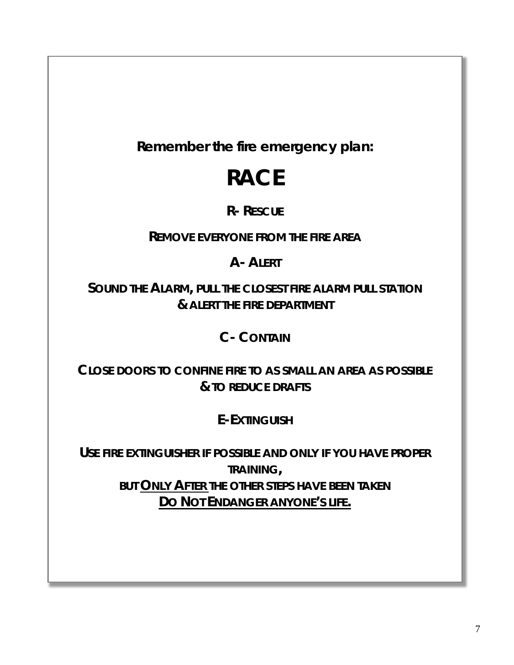**Remember the fire emergency plan:** 

# **RACE**

### **R- RESCUE**

**REMOVE EVERYONE FROM THE FIRE AREA**

## **A- ALERT**

**SOUND THE ALARM, PULL THE CLOSEST FIRE ALARM PULL STATION & ALERT THE FIRE DEPARTMENT**

## **C- CONTAIN**

**CLOSE DOORS TO CONFINE FIRE TO AS SMALL AN AREA AS POSSIBLE & TO REDUCE DRAFTS**

**E-EXTINGUISH**

**USE FIRE EXTINGUISHER IF POSSIBLE AND ONLY IF YOU HAVE PROPER TRAINING, BUT ONLY AFTER THE OTHER STEPS HAVE BEEN TAKEN DO NOT ENDANGER ANYONE'S LIFE.**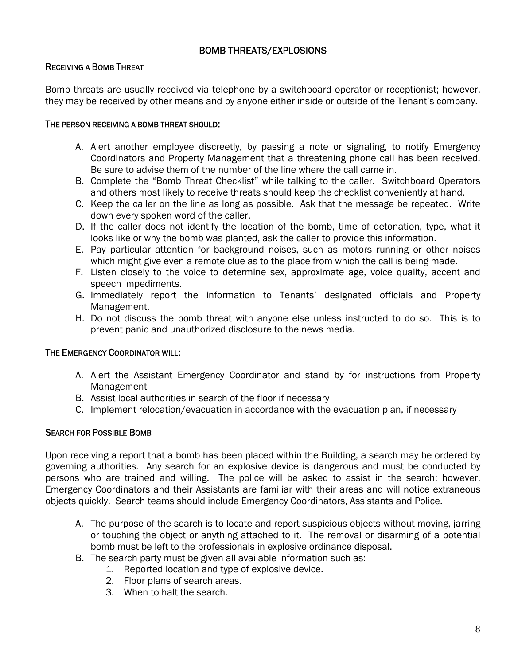#### BOMB THREATS/EXPLOSIONS

#### RECEIVING A BOMB THREAT

Bomb threats are usually received via telephone by a switchboard operator or receptionist; however, they may be received by other means and by anyone either inside or outside of the Tenant's company.

#### THE PERSON RECEIVING A BOMB THREAT SHOULD:

- A. Alert another employee discreetly, by passing a note or signaling, to notify Emergency Coordinators and Property Management that a threatening phone call has been received. Be sure to advise them of the number of the line where the call came in.
- B. Complete the "Bomb Threat Checklist" while talking to the caller. Switchboard Operators and others most likely to receive threats should keep the checklist conveniently at hand.
- C. Keep the caller on the line as long as possible. Ask that the message be repeated. Write down every spoken word of the caller.
- D. If the caller does not identify the location of the bomb, time of detonation, type, what it looks like or why the bomb was planted, ask the caller to provide this information.
- E. Pay particular attention for background noises, such as motors running or other noises which might give even a remote clue as to the place from which the call is being made.
- F. Listen closely to the voice to determine sex, approximate age, voice quality, accent and speech impediments.
- G. Immediately report the information to Tenants' designated officials and Property Management.
- H. Do not discuss the bomb threat with anyone else unless instructed to do so. This is to prevent panic and unauthorized disclosure to the news media.

#### THE EMERGENCY COORDINATOR WILL:

- A. Alert the Assistant Emergency Coordinator and stand by for instructions from Property Management
- B. Assist local authorities in search of the floor if necessary
- C. Implement relocation/evacuation in accordance with the evacuation plan, if necessary

#### SEARCH FOR POSSIBLE BOMB

Upon receiving a report that a bomb has been placed within the Building, a search may be ordered by governing authorities. Any search for an explosive device is dangerous and must be conducted by persons who are trained and willing. The police will be asked to assist in the search; however, Emergency Coordinators and their Assistants are familiar with their areas and will notice extraneous objects quickly. Search teams should include Emergency Coordinators, Assistants and Police.

- A. The purpose of the search is to locate and report suspicious objects without moving, jarring or touching the object or anything attached to it. The removal or disarming of a potential bomb must be left to the professionals in explosive ordinance disposal.
- B. The search party must be given all available information such as:
	- 1. Reported location and type of explosive device.
	- 2. Floor plans of search areas.
	- 3. When to halt the search.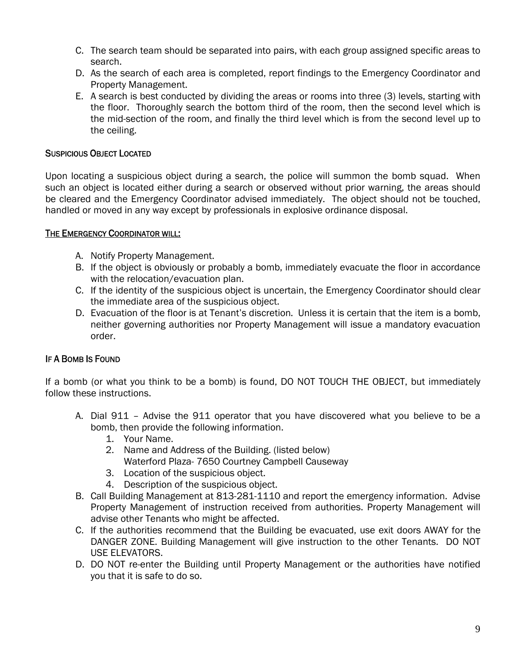- C. The search team should be separated into pairs, with each group assigned specific areas to search.
- D. As the search of each area is completed, report findings to the Emergency Coordinator and Property Management.
- E. A search is best conducted by dividing the areas or rooms into three (3) levels, starting with the floor. Thoroughly search the bottom third of the room, then the second level which is the mid-section of the room, and finally the third level which is from the second level up to the ceiling.

#### SUSPICIOUS OBJECT LOCATED

Upon locating a suspicious object during a search, the police will summon the bomb squad. When such an object is located either during a search or observed without prior warning, the areas should be cleared and the Emergency Coordinator advised immediately. The object should not be touched, handled or moved in any way except by professionals in explosive ordinance disposal.

#### THE EMERGENCY COORDINATOR WILL:

- A. Notify Property Management.
- B. If the object is obviously or probably a bomb, immediately evacuate the floor in accordance with the relocation/evacuation plan.
- C. If the identity of the suspicious object is uncertain, the Emergency Coordinator should clear the immediate area of the suspicious object.
- D. Evacuation of the floor is at Tenant's discretion. Unless it is certain that the item is a bomb, neither governing authorities nor Property Management will issue a mandatory evacuation order.

#### IF A BOMB IS FOUND

If a bomb (or what you think to be a bomb) is found, DO NOT TOUCH THE OBJECT, but immediately follow these instructions.

- A. Dial 911 Advise the 911 operator that you have discovered what you believe to be a bomb, then provide the following information.
	- 1. Your Name.
	- 2. Name and Address of the Building. (listed below)
		- Waterford Plaza- 7650 Courtney Campbell Causeway
	- 3. Location of the suspicious object.
	- 4. Description of the suspicious object.
- B. Call Building Management at 813-281-1110 and report the emergency information. Advise Property Management of instruction received from authorities. Property Management will advise other Tenants who might be affected.
- C. If the authorities recommend that the Building be evacuated, use exit doors AWAY for the DANGER ZONE. Building Management will give instruction to the other Tenants. DO NOT USE ELEVATORS.
- D. DO NOT re-enter the Building until Property Management or the authorities have notified you that it is safe to do so.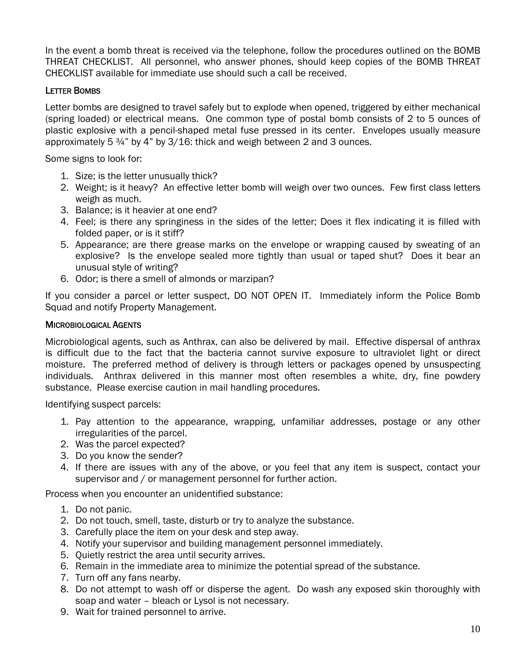In the event a bomb threat is received via the telephone, follow the procedures outlined on the BOMB THREAT CHECKLIST. All personnel, who answer phones, should keep copies of the BOMB THREAT CHECKLIST available for immediate use should such a call be received.

#### LETTER BOMBS

Letter bombs are designed to travel safely but to explode when opened, triggered by either mechanical (spring loaded) or electrical means. One common type of postal bomb consists of 2 to 5 ounces of plastic explosive with a pencil-shaped metal fuse pressed in its center. Envelopes usually measure approximately 5  $\frac{3}{4}$ " by 4" by 3/16: thick and weigh between 2 and 3 ounces.

Some signs to look for:

- 1. Size; is the letter unusually thick?
- 2. Weight; is it heavy? An effective letter bomb will weigh over two ounces. Few first class letters weigh as much.
- 3. Balance; is it heavier at one end?
- 4. Feel; is there any springiness in the sides of the letter; Does it flex indicating it is filled with folded paper, or is it stiff?
- 5. Appearance; are there grease marks on the envelope or wrapping caused by sweating of an explosive? Is the envelope sealed more tightly than usual or taped shut? Does it bear an unusual style of writing?
- 6. Odor; is there a smell of almonds or marzipan?

If you consider a parcel or letter suspect, DO NOT OPEN IT. Immediately inform the Police Bomb Squad and notify Property Management.

#### MICROBIOLOGICAL AGENTS

Microbiological agents, such as Anthrax, can also be delivered by mail. Effective dispersal of anthrax is difficult due to the fact that the bacteria cannot survive exposure to ultraviolet light or direct moisture. The preferred method of delivery is through letters or packages opened by unsuspecting individuals. Anthrax delivered in this manner most often resembles a white, dry, fine powdery substance. Please exercise caution in mail handling procedures.

Identifying suspect parcels:

- 1. Pay attention to the appearance, wrapping, unfamiliar addresses, postage or any other irregularities of the parcel.
- 2. Was the parcel expected?
- 3. Do you know the sender?
- 4. If there are issues with any of the above, or you feel that any item is suspect, contact your supervisor and / or management personnel for further action.

Process when you encounter an unidentified substance:

- 1. Do not panic.
- 2. Do not touch, smell, taste, disturb or try to analyze the substance.
- 3. Carefully place the item on your desk and step away.
- 4. Notify your supervisor and building management personnel immediately.
- 5. Quietly restrict the area until security arrives.
- 6. Remain in the immediate area to minimize the potential spread of the substance.
- 7. Turn off any fans nearby.
- 8. Do not attempt to wash off or disperse the agent. Do wash any exposed skin thoroughly with soap and water – bleach or Lysol is not necessary.
- 9. Wait for trained personnel to arrive.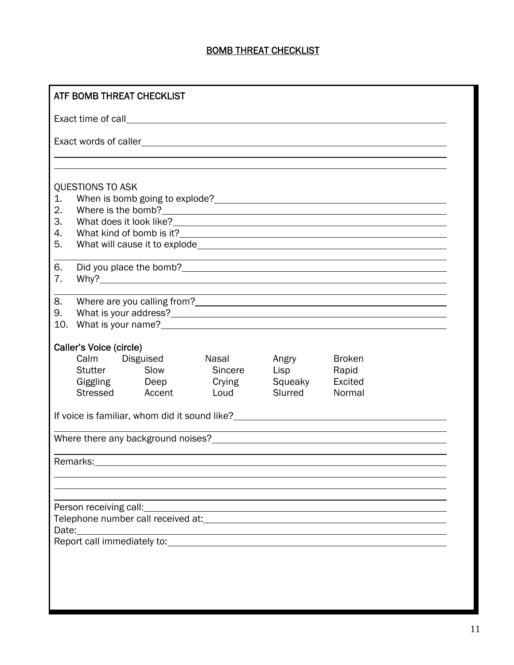#### BOMB THREAT CHECKLIST

| ATF BOMB THREAT CHECKLIST                                                                                       |                         |                 |         |         |                                                                                                                                                                                                                                        |  |
|-----------------------------------------------------------------------------------------------------------------|-------------------------|-----------------|---------|---------|----------------------------------------------------------------------------------------------------------------------------------------------------------------------------------------------------------------------------------------|--|
|                                                                                                                 |                         |                 |         |         |                                                                                                                                                                                                                                        |  |
|                                                                                                                 |                         |                 |         |         |                                                                                                                                                                                                                                        |  |
|                                                                                                                 |                         |                 |         |         |                                                                                                                                                                                                                                        |  |
|                                                                                                                 | QUESTIONS TO ASK        |                 |         |         |                                                                                                                                                                                                                                        |  |
| 1.                                                                                                              |                         |                 |         |         |                                                                                                                                                                                                                                        |  |
| 2.                                                                                                              |                         |                 |         |         |                                                                                                                                                                                                                                        |  |
| 3.                                                                                                              |                         |                 |         |         |                                                                                                                                                                                                                                        |  |
| 4.                                                                                                              |                         |                 |         |         |                                                                                                                                                                                                                                        |  |
| 5.                                                                                                              |                         |                 |         |         |                                                                                                                                                                                                                                        |  |
| 6.                                                                                                              |                         |                 |         |         |                                                                                                                                                                                                                                        |  |
| 7.                                                                                                              |                         |                 |         |         |                                                                                                                                                                                                                                        |  |
| 8.                                                                                                              |                         |                 |         |         |                                                                                                                                                                                                                                        |  |
| 9.                                                                                                              |                         |                 |         |         |                                                                                                                                                                                                                                        |  |
| 10.                                                                                                             |                         |                 |         |         |                                                                                                                                                                                                                                        |  |
|                                                                                                                 | Caller's Voice (circle) |                 |         |         |                                                                                                                                                                                                                                        |  |
|                                                                                                                 | Calm Disguised          |                 | Nasal   | Angry   | <b>Broken</b>                                                                                                                                                                                                                          |  |
|                                                                                                                 | Stutter                 | Slow            | Sincere | Lisp    | Rapid                                                                                                                                                                                                                                  |  |
|                                                                                                                 | Giggling Deep           |                 | Crying  | Squeaky | Excited                                                                                                                                                                                                                                |  |
|                                                                                                                 |                         | Stressed Accent | Loud    | Slurred | Normal                                                                                                                                                                                                                                 |  |
|                                                                                                                 |                         |                 |         |         | If voice is familiar, whom did it sound like?<br><u>Letting and the contract of the contract of the contract of the contract of the contract of the contract of the contract of the contract of the contract of the contract of th</u> |  |
|                                                                                                                 |                         |                 |         |         |                                                                                                                                                                                                                                        |  |
|                                                                                                                 |                         |                 |         |         |                                                                                                                                                                                                                                        |  |
|                                                                                                                 | Remarks:________        |                 |         |         |                                                                                                                                                                                                                                        |  |
|                                                                                                                 |                         |                 |         |         |                                                                                                                                                                                                                                        |  |
|                                                                                                                 |                         |                 |         |         |                                                                                                                                                                                                                                        |  |
|                                                                                                                 | Person receiving call:  |                 |         |         |                                                                                                                                                                                                                                        |  |
|                                                                                                                 |                         |                 |         |         |                                                                                                                                                                                                                                        |  |
| Report call immediately to: Note that the series of the series of the series of the series of the series of the |                         |                 |         |         |                                                                                                                                                                                                                                        |  |
|                                                                                                                 |                         |                 |         |         |                                                                                                                                                                                                                                        |  |
|                                                                                                                 |                         |                 |         |         |                                                                                                                                                                                                                                        |  |
|                                                                                                                 |                         |                 |         |         |                                                                                                                                                                                                                                        |  |
|                                                                                                                 |                         |                 |         |         |                                                                                                                                                                                                                                        |  |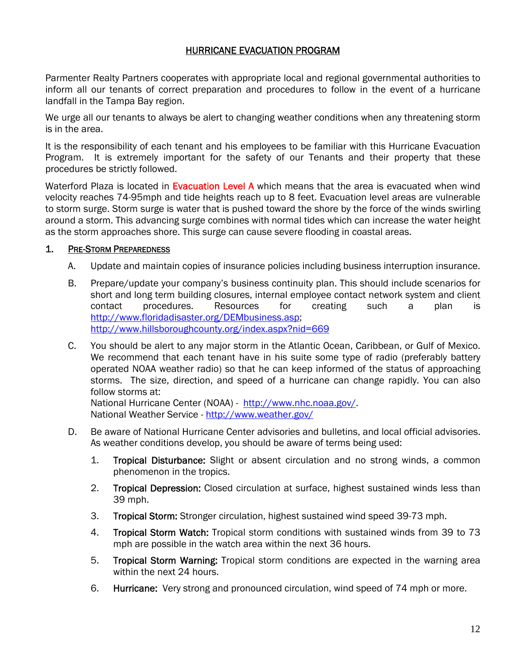#### HURRICANE EVACUATION PROGRAM

Parmenter Realty Partners cooperates with appropriate local and regional governmental authorities to inform all our tenants of correct preparation and procedures to follow in the event of a hurricane landfall in the Tampa Bay region.

We urge all our tenants to always be alert to changing weather conditions when any threatening storm is in the area.

It is the responsibility of each tenant and his employees to be familiar with this Hurricane Evacuation Program. It is extremely important for the safety of our Tenants and their property that these procedures be strictly followed.

Waterford Plaza is located in Evacuation Level A which means that the area is evacuated when wind velocity reaches 74-95mph and tide heights reach up to 8 feet. Evacuation level areas are vulnerable to storm surge. Storm surge is water that is pushed toward the shore by the force of the winds swirling around a storm. This advancing surge combines with normal tides which can increase the water height as the storm approaches shore. This surge can cause severe flooding in coastal areas.

#### 1. PRE-STORM PREPAREDNESS

- A. Update and maintain copies of insurance policies including business interruption insurance.
- B. Prepare/update your company's business continuity plan. This should include scenarios for short and long term building closures, internal employee contact network system and client contact procedures. Resources for creating such a plan is http://www.floridadisaster.org/DEMbusiness.asp; http://www.hillsboroughcounty.org/index.aspx?nid=669
- C. You should be alert to any major storm in the Atlantic Ocean, Caribbean, or Gulf of Mexico. We recommend that each tenant have in his suite some type of radio (preferably battery operated NOAA weather radio) so that he can keep informed of the status of approaching storms. The size, direction, and speed of a hurricane can change rapidly. You can also follow storms at:

National Hurricane Center (NOAA) - http://www.nhc.noaa.gov/. National Weather Service - http://www.weather.gov/

- D. Be aware of National Hurricane Center advisories and bulletins, and local official advisories. As weather conditions develop, you should be aware of terms being used:
	- 1. Tropical Disturbance: Slight or absent circulation and no strong winds, a common phenomenon in the tropics.
	- 2. Tropical Depression: Closed circulation at surface, highest sustained winds less than 39 mph.
	- 3. Tropical Storm: Stronger circulation, highest sustained wind speed 39-73 mph.
	- 4. Tropical Storm Watch: Tropical storm conditions with sustained winds from 39 to 73 mph are possible in the watch area within the next 36 hours.
	- 5. Tropical Storm Warning: Tropical storm conditions are expected in the warning area within the next 24 hours.
	- 6. Hurricane: Very strong and pronounced circulation, wind speed of 74 mph or more.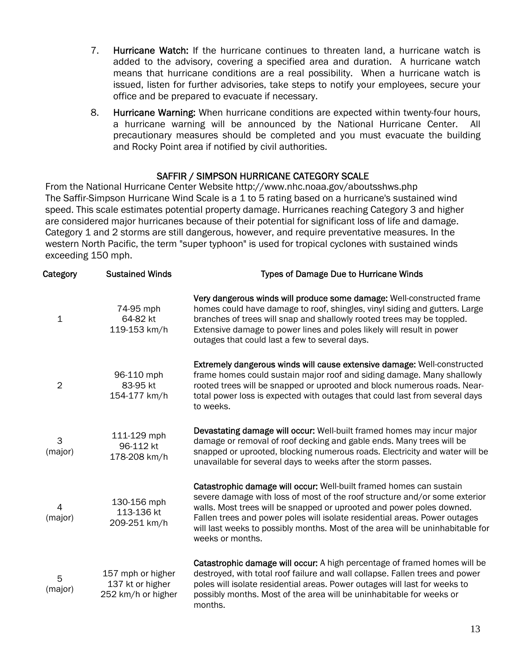- 7. Hurricane Watch: If the hurricane continues to threaten land, a hurricane watch is added to the advisory, covering a specified area and duration. A hurricane watch means that hurricane conditions are a real possibility. When a hurricane watch is issued, listen for further advisories, take steps to notify your employees, secure your office and be prepared to evacuate if necessary.
- 8. Hurricane Warning: When hurricane conditions are expected within twenty-four hours, a hurricane warning will be announced by the National Hurricane Center. All precautionary measures should be completed and you must evacuate the building and Rocky Point area if notified by civil authorities.

#### SAFFIR / SIMPSON HURRICANE CATEGORY SCALE

From the National Hurricane Center Website http://www.nhc.noaa.gov/aboutsshws.php The Saffir-Simpson Hurricane Wind Scale is a 1 to 5 rating based on a hurricane's sustained wind speed. This scale estimates potential property damage. Hurricanes reaching Category 3 and higher are considered major hurricanes because of their potential for significant loss of life and damage. Category 1 and 2 storms are still dangerous, however, and require preventative measures. In the western North Pacific, the term "super typhoon" is used for tropical cyclones with sustained winds exceeding 150 mph.

| Category       | <b>Sustained Winds</b>                                      | Types of Damage Due to Hurricane Winds                                                                                                                                                                                                                                                                                                                                                                         |
|----------------|-------------------------------------------------------------|----------------------------------------------------------------------------------------------------------------------------------------------------------------------------------------------------------------------------------------------------------------------------------------------------------------------------------------------------------------------------------------------------------------|
| $\mathbf 1$    | 74-95 mph<br>64-82 kt<br>119-153 km/h                       | Very dangerous winds will produce some damage: Well-constructed frame<br>homes could have damage to roof, shingles, vinyl siding and gutters. Large<br>branches of trees will snap and shallowly rooted trees may be toppled.<br>Extensive damage to power lines and poles likely will result in power<br>outages that could last a few to several days.                                                       |
| $\overline{2}$ | 96-110 mph<br>83-95 kt<br>154-177 km/h                      | Extremely dangerous winds will cause extensive damage: Well-constructed<br>frame homes could sustain major roof and siding damage. Many shallowly<br>rooted trees will be snapped or uprooted and block numerous roads. Near-<br>total power loss is expected with outages that could last from several days<br>to weeks.                                                                                      |
| 3<br>(major)   | 111-129 mph<br>96-112 kt<br>178-208 km/h                    | Devastating damage will occur: Well-built framed homes may incur major<br>damage or removal of roof decking and gable ends. Many trees will be<br>snapped or uprooted, blocking numerous roads. Electricity and water will be<br>unavailable for several days to weeks after the storm passes.                                                                                                                 |
| 4<br>(major)   | 130-156 mph<br>113-136 kt<br>209-251 km/h                   | Catastrophic damage will occur: Well-built framed homes can sustain<br>severe damage with loss of most of the roof structure and/or some exterior<br>walls. Most trees will be snapped or uprooted and power poles downed.<br>Fallen trees and power poles will isolate residential areas. Power outages<br>will last weeks to possibly months. Most of the area will be uninhabitable for<br>weeks or months. |
| 5<br>(major)   | 157 mph or higher<br>137 kt or higher<br>252 km/h or higher | Catastrophic damage will occur: A high percentage of framed homes will be<br>destroyed, with total roof failure and wall collapse. Fallen trees and power<br>poles will isolate residential areas. Power outages will last for weeks to<br>possibly months. Most of the area will be uninhabitable for weeks or<br>months.                                                                                     |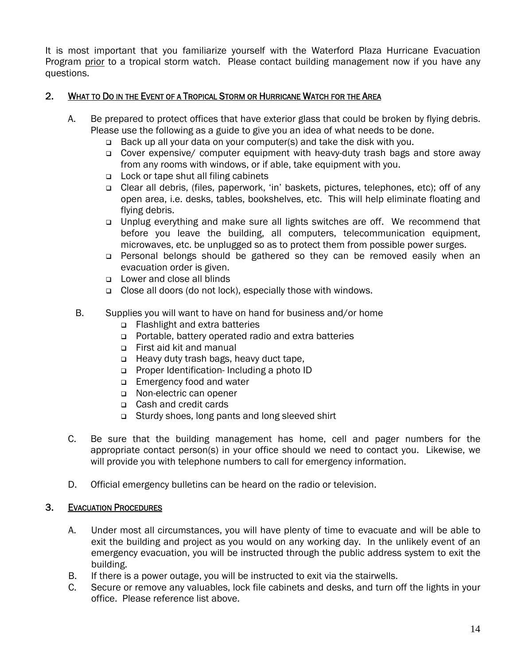It is most important that you familiarize yourself with the Waterford Plaza Hurricane Evacuation Program prior to a tropical storm watch. Please contact building management now if you have any questions.

#### 2. WHAT TO DO IN THE EVENT OF A TROPICAL STORM OR HURRICANE WATCH FOR THE AREA

- A. Be prepared to protect offices that have exterior glass that could be broken by flying debris. Please use the following as a guide to give you an idea of what needs to be done.
	- □ Back up all your data on your computer(s) and take the disk with you.
	- Cover expensive/ computer equipment with heavy-duty trash bags and store away from any rooms with windows, or if able, take equipment with you.
	- □ Lock or tape shut all filing cabinets
	- Clear all debris, (files, paperwork, 'in' baskets, pictures, telephones, etc); off of any open area, i.e. desks, tables, bookshelves, etc. This will help eliminate floating and flying debris.
	- Unplug everything and make sure all lights switches are off. We recommend that before you leave the building, all computers, telecommunication equipment, microwaves, etc. be unplugged so as to protect them from possible power surges.
	- Personal belongs should be gathered so they can be removed easily when an evacuation order is given.
	- Lower and close all blinds
	- □ Close all doors (do not lock), especially those with windows.
	- B. Supplies you will want to have on hand for business and/or home
		- □ Flashlight and extra batteries
		- Portable, battery operated radio and extra batteries
		- First aid kit and manual
		- □ Heavy duty trash bags, heavy duct tape,
		- Proper Identification- Including a photo ID
		- **Emergency food and water**
		- Non-electric can opener
		- Cash and credit cards
		- Sturdy shoes, long pants and long sleeved shirt
- C. Be sure that the building management has home, cell and pager numbers for the appropriate contact person(s) in your office should we need to contact you. Likewise, we will provide you with telephone numbers to call for emergency information.
- D. Official emergency bulletins can be heard on the radio or television.

#### 3. EVACUATION PROCEDURES

- A. Under most all circumstances, you will have plenty of time to evacuate and will be able to exit the building and project as you would on any working day. In the unlikely event of an emergency evacuation, you will be instructed through the public address system to exit the building.
- B. If there is a power outage, you will be instructed to exit via the stairwells.
- C. Secure or remove any valuables, lock file cabinets and desks, and turn off the lights in your office. Please reference list above.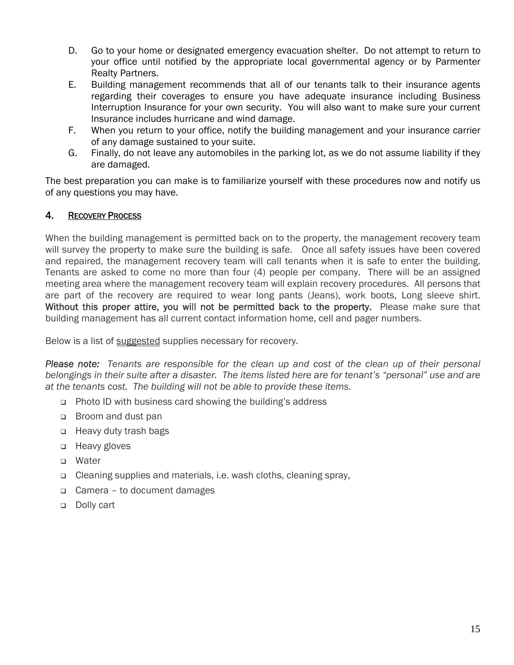- D. Go to your home or designated emergency evacuation shelter. Do not attempt to return to your office until notified by the appropriate local governmental agency or by Parmenter Realty Partners.
- E. Building management recommends that all of our tenants talk to their insurance agents regarding their coverages to ensure you have adequate insurance including Business Interruption Insurance for your own security. You will also want to make sure your current Insurance includes hurricane and wind damage.
- F. When you return to your office, notify the building management and your insurance carrier of any damage sustained to your suite.
- G. Finally, do not leave any automobiles in the parking lot, as we do not assume liability if they are damaged.

The best preparation you can make is to familiarize yourself with these procedures now and notify us of any questions you may have.

#### 4. RECOVERY PROCESS

When the building management is permitted back on to the property, the management recovery team will survey the property to make sure the building is safe. Once all safety issues have been covered and repaired, the management recovery team will call tenants when it is safe to enter the building. Tenants are asked to come no more than four (4) people per company. There will be an assigned meeting area where the management recovery team will explain recovery procedures. All persons that are part of the recovery are required to wear long pants (Jeans), work boots, Long sleeve shirt. Without this proper attire, you will not be permitted back to the property. Please make sure that building management has all current contact information home, cell and pager numbers.

Below is a list of suggested supplies necessary for recovery.

*Please note: Tenants are responsible for the clean up and cost of the clean up of their personal belongings in their suite after a disaster. The items listed here are for tenant's "personal" use and are at the tenants cost. The building will not be able to provide these items.* 

- Photo ID with business card showing the building's address
- □ Broom and dust pan
- □ Heavy duty trash bags
- □ Heavy gloves
- □ Water
- Cleaning supplies and materials, i.e. wash cloths, cleaning spray,
- Camera to document damages
- Dolly cart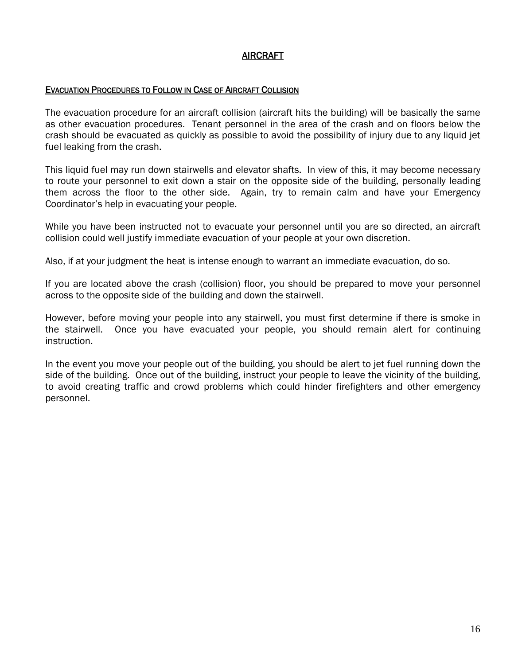#### AIRCRAFT

#### EVACUATION PROCEDURES TO FOLLOW IN CASE OF AIRCRAFT COLLISION

The evacuation procedure for an aircraft collision (aircraft hits the building) will be basically the same as other evacuation procedures. Tenant personnel in the area of the crash and on floors below the crash should be evacuated as quickly as possible to avoid the possibility of injury due to any liquid jet fuel leaking from the crash.

This liquid fuel may run down stairwells and elevator shafts. In view of this, it may become necessary to route your personnel to exit down a stair on the opposite side of the building, personally leading them across the floor to the other side. Again, try to remain calm and have your Emergency Coordinator's help in evacuating your people.

While you have been instructed not to evacuate your personnel until you are so directed, an aircraft collision could well justify immediate evacuation of your people at your own discretion.

Also, if at your judgment the heat is intense enough to warrant an immediate evacuation, do so.

If you are located above the crash (collision) floor, you should be prepared to move your personnel across to the opposite side of the building and down the stairwell.

However, before moving your people into any stairwell, you must first determine if there is smoke in the stairwell. Once you have evacuated your people, you should remain alert for continuing instruction.

In the event you move your people out of the building, you should be alert to jet fuel running down the side of the building. Once out of the building, instruct your people to leave the vicinity of the building, to avoid creating traffic and crowd problems which could hinder firefighters and other emergency personnel.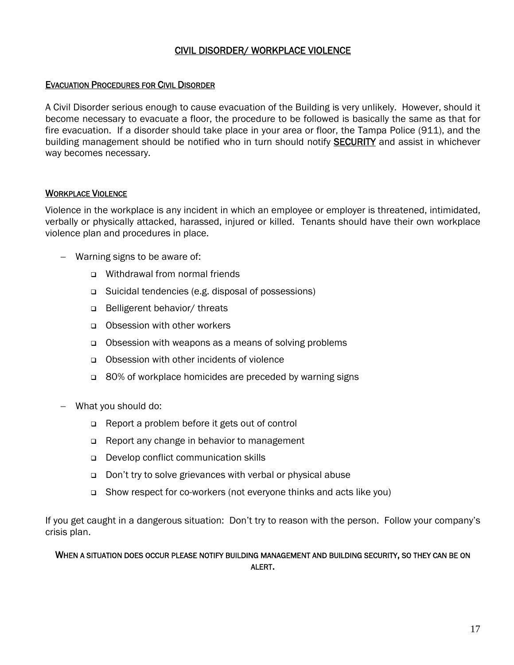#### CIVIL DISORDER/ WORKPLACE VIOLENCE

#### EVACUATION PROCEDURES FOR CIVIL DISORDER

A Civil Disorder serious enough to cause evacuation of the Building is very unlikely. However, should it become necessary to evacuate a floor, the procedure to be followed is basically the same as that for fire evacuation. If a disorder should take place in your area or floor, the Tampa Police (911), and the building management should be notified who in turn should notify SECURITY and assist in whichever way becomes necessary.

#### **WORKPLACE VIOLENCE**

Violence in the workplace is any incident in which an employee or employer is threatened, intimidated, verbally or physically attacked, harassed, injured or killed. Tenants should have their own workplace violence plan and procedures in place.

- Warning signs to be aware of:
	- □ Withdrawal from normal friends
	- Suicidal tendencies (e.g. disposal of possessions)
	- □ Belligerent behavior/ threats
	- Obsession with other workers
	- Obsession with weapons as a means of solving problems
	- Obsession with other incidents of violence
	- 80% of workplace homicides are preceded by warning signs
- What you should do:
	- Report a problem before it gets out of control
	- □ Report any change in behavior to management
	- Develop conflict communication skills
	- □ Don't try to solve grievances with verbal or physical abuse
	- Show respect for co-workers (not everyone thinks and acts like you)

If you get caught in a dangerous situation: Don't try to reason with the person. Follow your company's crisis plan.

#### WHEN A SITUATION DOES OCCUR PLEASE NOTIFY BUILDING MANAGEMENT AND BUILDING SECURITY, SO THEY CAN BE ON ALERT.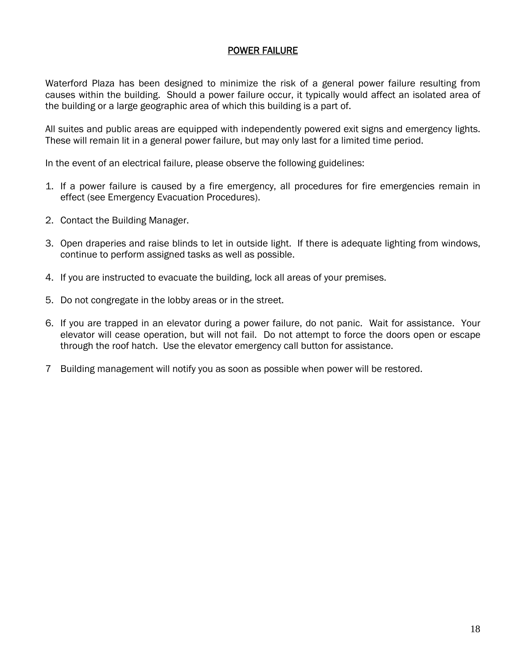#### POWER FAILURE

Waterford Plaza has been designed to minimize the risk of a general power failure resulting from causes within the building. Should a power failure occur, it typically would affect an isolated area of the building or a large geographic area of which this building is a part of.

All suites and public areas are equipped with independently powered exit signs and emergency lights. These will remain lit in a general power failure, but may only last for a limited time period.

In the event of an electrical failure, please observe the following guidelines:

- 1. If a power failure is caused by a fire emergency, all procedures for fire emergencies remain in effect (see Emergency Evacuation Procedures).
- 2. Contact the Building Manager.
- 3. Open draperies and raise blinds to let in outside light. If there is adequate lighting from windows, continue to perform assigned tasks as well as possible.
- 4. If you are instructed to evacuate the building, lock all areas of your premises.
- 5. Do not congregate in the lobby areas or in the street.
- 6. If you are trapped in an elevator during a power failure, do not panic. Wait for assistance. Your elevator will cease operation, but will not fail. Do not attempt to force the doors open or escape through the roof hatch. Use the elevator emergency call button for assistance.
- 7 Building management will notify you as soon as possible when power will be restored.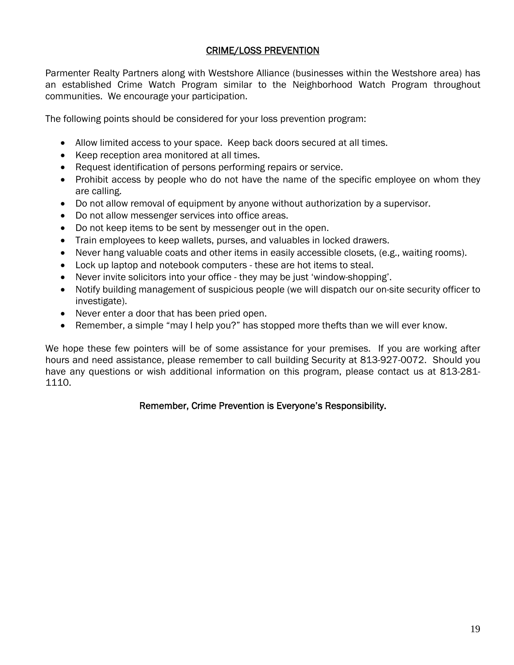#### CRIME/LOSS PREVENTION

Parmenter Realty Partners along with Westshore Alliance (businesses within the Westshore area) has an established Crime Watch Program similar to the Neighborhood Watch Program throughout communities. We encourage your participation.

The following points should be considered for your loss prevention program:

- Allow limited access to your space. Keep back doors secured at all times.
- Keep reception area monitored at all times.
- Request identification of persons performing repairs or service.
- Prohibit access by people who do not have the name of the specific employee on whom they are calling.
- Do not allow removal of equipment by anyone without authorization by a supervisor.
- Do not allow messenger services into office areas.
- Do not keep items to be sent by messenger out in the open.
- Train employees to keep wallets, purses, and valuables in locked drawers.
- Never hang valuable coats and other items in easily accessible closets, (e.g., waiting rooms).
- Lock up laptop and notebook computers these are hot items to steal.
- Never invite solicitors into your office they may be just 'window-shopping'.
- Notify building management of suspicious people (we will dispatch our on-site security officer to investigate).
- Never enter a door that has been pried open.
- Remember, a simple "may I help you?" has stopped more thefts than we will ever know.

We hope these few pointers will be of some assistance for your premises. If you are working after hours and need assistance, please remember to call building Security at 813-927-0072. Should you have any questions or wish additional information on this program, please contact us at 813-281- 1110.

#### Remember, Crime Prevention is Everyone's Responsibility.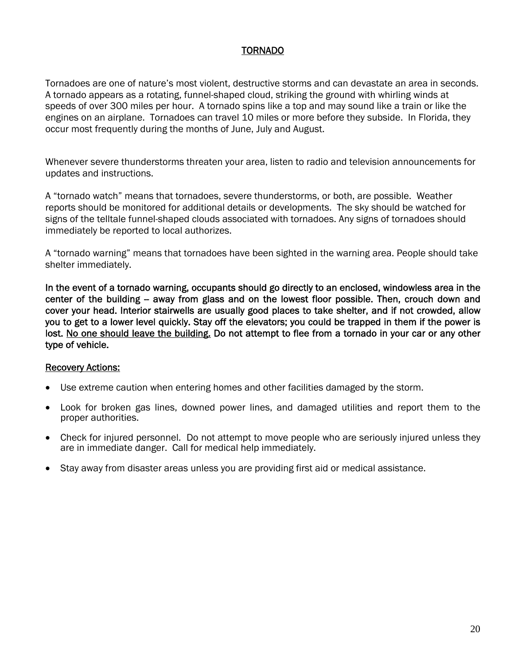#### TORNADO

Tornadoes are one of nature's most violent, destructive storms and can devastate an area in seconds. A tornado appears as a rotating, funnel-shaped cloud, striking the ground with whirling winds at speeds of over 300 miles per hour. A tornado spins like a top and may sound like a train or like the engines on an airplane. Tornadoes can travel 10 miles or more before they subside. In Florida, they occur most frequently during the months of June, July and August.

Whenever severe thunderstorms threaten your area, listen to radio and television announcements for updates and instructions.

A "tornado watch" means that tornadoes, severe thunderstorms, or both, are possible. Weather reports should be monitored for additional details or developments. The sky should be watched for signs of the telltale funnel-shaped clouds associated with tornadoes. Any signs of tornadoes should immediately be reported to local authorizes.

A "tornado warning" means that tornadoes have been sighted in the warning area. People should take shelter immediately.

In the event of a tornado warning, occupants should go directly to an enclosed, windowless area in the center of the building – away from glass and on the lowest floor possible. Then, crouch down and cover your head. Interior stairwells are usually good places to take shelter, and if not crowded, allow you to get to a lower level quickly. Stay off the elevators; you could be trapped in them if the power is lost. No one should leave the building. Do not attempt to flee from a tornado in your car or any other type of vehicle.

#### Recovery Actions:

- Use extreme caution when entering homes and other facilities damaged by the storm.
- Look for broken gas lines, downed power lines, and damaged utilities and report them to the proper authorities.
- Check for injured personnel. Do not attempt to move people who are seriously injured unless they are in immediate danger. Call for medical help immediately.
- Stay away from disaster areas unless you are providing first aid or medical assistance.